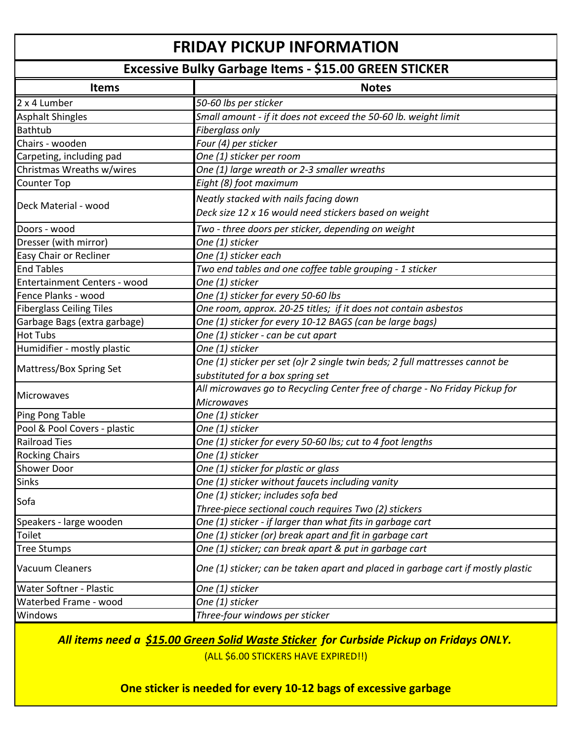## **FRIDAY PICKUP INFORMATION**

## **Excessive Bulky Garbage Items - \$15.00 GREEN STICKER**

| 2 x 4 Lumber<br>50-60 lbs per sticker<br>Small amount - if it does not exceed the 50-60 lb. weight limit<br><b>Asphalt Shingles</b><br>Fiberglass only<br>Bathtub |  |
|-------------------------------------------------------------------------------------------------------------------------------------------------------------------|--|
|                                                                                                                                                                   |  |
|                                                                                                                                                                   |  |
|                                                                                                                                                                   |  |
| Chairs - wooden<br>Four (4) per sticker                                                                                                                           |  |
| One (1) sticker per room<br>Carpeting, including pad                                                                                                              |  |
| Christmas Wreaths w/wires<br>One (1) large wreath or 2-3 smaller wreaths                                                                                          |  |
| Eight (8) foot maximum<br>Counter Top                                                                                                                             |  |
| Neatly stacked with nails facing down                                                                                                                             |  |
| Deck Material - wood<br>Deck size 12 x 16 would need stickers based on weight                                                                                     |  |
| Doors - wood<br>Two - three doors per sticker, depending on weight                                                                                                |  |
| Dresser (with mirror)<br>One (1) sticker                                                                                                                          |  |
| One (1) sticker each<br>Easy Chair or Recliner                                                                                                                    |  |
| <b>End Tables</b><br>Two end tables and one coffee table grouping - 1 sticker                                                                                     |  |
| One (1) sticker<br>Entertainment Centers - wood                                                                                                                   |  |
| Fence Planks - wood<br>One (1) sticker for every 50-60 lbs                                                                                                        |  |
| <b>Fiberglass Ceiling Tiles</b><br>One room, approx. 20-25 titles; if it does not contain asbestos                                                                |  |
| One (1) sticker for every 10-12 BAGS (can be large bags)<br>Garbage Bags (extra garbage)                                                                          |  |
| <b>Hot Tubs</b><br>One (1) sticker - can be cut apart                                                                                                             |  |
| Humidifier - mostly plastic<br>One (1) sticker                                                                                                                    |  |
| One (1) sticker per set (o)r 2 single twin beds; 2 full mattresses cannot be                                                                                      |  |
| Mattress/Box Spring Set<br>substituted for a box spring set                                                                                                       |  |
| All microwaves go to Recycling Center free of charge - No Friday Pickup for                                                                                       |  |
| <b>Microwaves</b><br><b>Microwaves</b>                                                                                                                            |  |
| Ping Pong Table<br>One (1) sticker                                                                                                                                |  |
| Pool & Pool Covers - plastic<br>One (1) sticker                                                                                                                   |  |
| <b>Railroad Ties</b><br>One (1) sticker for every 50-60 lbs; cut to 4 foot lengths                                                                                |  |
| <b>Rocking Chairs</b><br>One (1) sticker                                                                                                                          |  |
| <b>Shower Door</b><br>One (1) sticker for plastic or glass                                                                                                        |  |
| One (1) sticker without faucets including vanity<br>Sinks                                                                                                         |  |
| One (1) sticker; includes sofa bed                                                                                                                                |  |
| Sofa<br>Three-piece sectional couch requires Two (2) stickers                                                                                                     |  |
| Speakers - large wooden<br>One (1) sticker - if larger than what fits in garbage cart                                                                             |  |
| <b>Toilet</b><br>One (1) sticker (or) break apart and fit in garbage cart                                                                                         |  |
| One (1) sticker; can break apart & put in garbage cart<br><b>Tree Stumps</b>                                                                                      |  |
| One (1) sticker; can be taken apart and placed in garbage cart if mostly plastic<br>Vacuum Cleaners                                                               |  |
| <b>Water Softner - Plastic</b><br>One (1) sticker                                                                                                                 |  |
| Waterbed Frame - wood<br>One (1) sticker                                                                                                                          |  |
| Three-four windows per sticker<br><b>Windows</b>                                                                                                                  |  |

*All items need a \$15.00 Green Solid Waste Sticker for Curbside Pickup on Fridays ONLY.* 

(ALL \$6.00 STICKERS HAVE EXPIRED!!)

**One sticker is needed for every 10-12 bags of excessive garbage**